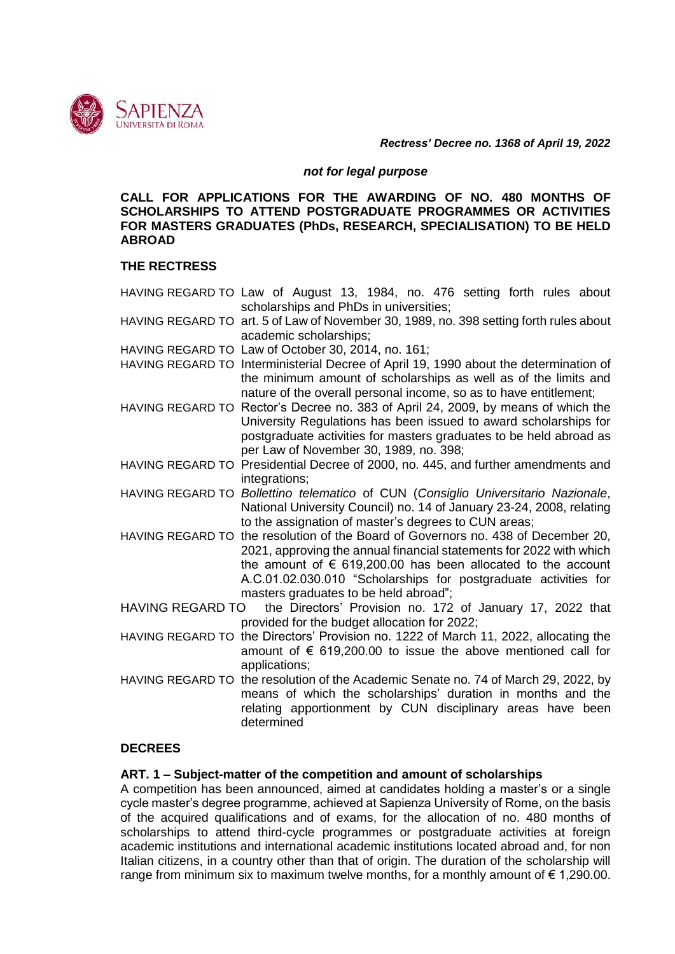

*Rectress' Decree no. 1368 of April 19, 2022*

### *not for legal purpose*

**CALL FOR APPLICATIONS FOR THE AWARDING OF NO. 480 MONTHS OF SCHOLARSHIPS TO ATTEND POSTGRADUATE PROGRAMMES OR ACTIVITIES FOR MASTERS GRADUATES (PhDs, RESEARCH, SPECIALISATION) TO BE HELD ABROAD**

### **THE RECTRESS**

HAVING REGARD TO Law of August 13, 1984, no. 476 setting forth rules about scholarships and PhDs in universities; HAVING REGARD TO art. 5 of Law of November 30, 1989, no. 398 setting forth rules about academic scholarships; HAVING REGARD TO Law of October 30, 2014, no. 161; HAVING REGARD TO Interministerial Decree of April 19, 1990 about the determination of the minimum amount of scholarships as well as of the limits and nature of the overall personal income, so as to have entitlement; HAVING REGARD TO Rector's Decree no. 383 of April 24, 2009, by means of which the University Regulations has been issued to award scholarships for postgraduate activities for masters graduates to be held abroad as per Law of November 30, 1989, no. 398; HAVING REGARD TO Presidential Decree of 2000, no. 445, and further amendments and integrations: HAVING REGARD TO *Bollettino telematico* of CUN (*Consiglio Universitario Nazionale*, National University Council) no. 14 of January 23-24, 2008, relating to the assignation of master's degrees to CUN areas; HAVING REGARD TO the resolution of the Board of Governors no. 438 of December 20, 2021, approving the annual financial statements for 2022 with which the amount of  $\epsilon$  619,200.00 has been allocated to the account A.C.01.02.030.010 "Scholarships for postgraduate activities for masters graduates to be held abroad"; HAVING REGARD TO the Directors' Provision no. 172 of January 17, 2022 that provided for the budget allocation for 2022; HAVING REGARD TO the Directors' Provision no. 1222 of March 11, 2022, allocating the amount of  $\epsilon$  619,200.00 to issue the above mentioned call for applications; HAVING REGARD TO the resolution of the Academic Senate no. 74 of March 29, 2022, by means of which the scholarships' duration in months and the relating apportionment by CUN disciplinary areas have been determined

# **DECREES**

# **ART. 1 – Subject-matter of the competition and amount of scholarships**

A competition has been announced, aimed at candidates holding a master's or a single cycle master's degree programme, achieved at Sapienza University of Rome, on the basis of the acquired qualifications and of exams, for the allocation of no. 480 months of scholarships to attend third-cycle programmes or postgraduate activities at foreign academic institutions and international academic institutions located abroad and, for non Italian citizens, in a country other than that of origin. The duration of the scholarship will range from minimum six to maximum twelve months, for a monthly amount of  $\epsilon$  1,290.00.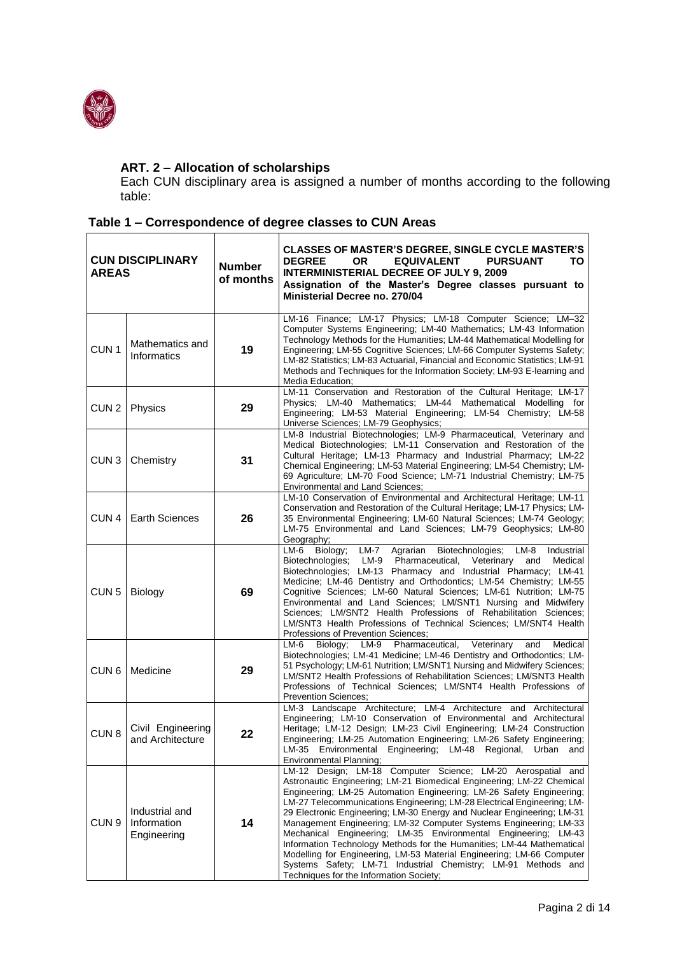

# **ART. 2 – Allocation of scholarships**

Each CUN disciplinary area is assigned a number of months according to the following table:

| <b>CUN DISCIPLINARY</b><br><b>AREAS</b> |                                              | <b>Number</b><br>of months | <b>CLASSES OF MASTER'S DEGREE, SINGLE CYCLE MASTER'S</b><br><b>DEGREE</b><br><b>OR</b><br><b>EQUIVALENT</b><br><b>PURSUANT</b><br>ΤО<br><b>INTERMINISTERIAL DECREE OF JULY 9, 2009</b><br>Assignation of the Master's Degree classes pursuant to<br>Ministerial Decree no. 270/04                                                                                                                                                                                                                                                                                                                                                                                                                                                                                      |
|-----------------------------------------|----------------------------------------------|----------------------------|------------------------------------------------------------------------------------------------------------------------------------------------------------------------------------------------------------------------------------------------------------------------------------------------------------------------------------------------------------------------------------------------------------------------------------------------------------------------------------------------------------------------------------------------------------------------------------------------------------------------------------------------------------------------------------------------------------------------------------------------------------------------|
| CUN <sub>1</sub>                        | Mathematics and<br>Informatics               | 19                         | LM-16 Finance; LM-17 Physics; LM-18 Computer Science; LM-32<br>Computer Systems Engineering; LM-40 Mathematics; LM-43 Information<br>Technology Methods for the Humanities; LM-44 Mathematical Modelling for<br>Engineering; LM-55 Cognitive Sciences; LM-66 Computer Systems Safety;<br>LM-82 Statistics; LM-83 Actuarial, Financial and Economic Statistics; LM-91<br>Methods and Techniques for the Information Society; LM-93 E-learning and<br>Media Education;                                                                                                                                                                                                                                                                                                   |
| CUN <sub>2</sub>                        | <b>Physics</b>                               | 29                         | LM-11 Conservation and Restoration of the Cultural Heritage; LM-17<br>Physics; LM-40 Mathematics; LM-44 Mathematical Modelling for<br>Engineering; LM-53 Material Engineering; LM-54 Chemistry; LM-58<br>Universe Sciences; LM-79 Geophysics;                                                                                                                                                                                                                                                                                                                                                                                                                                                                                                                          |
| CUN <sub>3</sub>                        | Chemistry                                    | 31                         | LM-8 Industrial Biotechnologies; LM-9 Pharmaceutical, Veterinary and<br>Medical Biotechnologies; LM-11 Conservation and Restoration of the<br>Cultural Heritage; LM-13 Pharmacy and Industrial Pharmacy; LM-22<br>Chemical Engineering; LM-53 Material Engineering; LM-54 Chemistry; LM-<br>69 Agriculture; LM-70 Food Science; LM-71 Industrial Chemistry; LM-75<br><b>Environmental and Land Sciences;</b>                                                                                                                                                                                                                                                                                                                                                           |
| CUN <sub>4</sub>                        | <b>Earth Sciences</b>                        | 26                         | LM-10 Conservation of Environmental and Architectural Heritage; LM-11<br>Conservation and Restoration of the Cultural Heritage; LM-17 Physics; LM-<br>35 Environmental Engineering; LM-60 Natural Sciences; LM-74 Geology;<br>LM-75 Environmental and Land Sciences; LM-79 Geophysics; LM-80<br>Geography;                                                                                                                                                                                                                                                                                                                                                                                                                                                             |
| CUN <sub>5</sub>                        | Biology                                      | 69                         | Biology;<br>Agrarian<br>LM-6<br>LM-7<br>Biotechnologies;<br>LM-8<br>Industrial<br>LM-9 Pharmaceutical,<br>Biotechnologies:<br>Veterinary<br>and<br>Medical<br>Biotechnologies; LM-13 Pharmacy and Industrial Pharmacy; LM-41<br>Medicine; LM-46 Dentistry and Orthodontics; LM-54 Chemistry; LM-55<br>Cognitive Sciences; LM-60 Natural Sciences; LM-61 Nutrition; LM-75<br>Environmental and Land Sciences; LM/SNT1 Nursing and Midwifery<br>Sciences; LM/SNT2 Health Professions of Rehabilitation Sciences;<br>LM/SNT3 Health Professions of Technical Sciences; LM/SNT4 Health<br>Professions of Prevention Sciences;                                                                                                                                              |
| CUN <sub>6</sub>                        | Medicine                                     | 29                         | LM-9 Pharmaceutical,<br>Biology;<br>LM-6<br>Veterinary<br>and<br>Medical<br>Biotechnologies; LM-41 Medicine; LM-46 Dentistry and Orthodontics; LM-<br>51 Psychology; LM-61 Nutrition; LM/SNT1 Nursing and Midwifery Sciences;<br>LM/SNT2 Health Professions of Rehabilitation Sciences; LM/SNT3 Health<br>Professions of Technical Sciences; LM/SNT4 Health Professions of<br><b>Prevention Sciences:</b>                                                                                                                                                                                                                                                                                                                                                              |
| CUN <sub>8</sub>                        | Civil Engineering<br>and Architecture        | 22                         | LM-3 Landscape Architecture; LM-4 Architecture and Architectural<br>Engineering; LM-10 Conservation of Environmental and Architectural<br>Heritage; LM-12 Design; LM-23 Civil Engineering; LM-24 Construction<br>Engineering; LM-25 Automation Engineering; LM-26 Safety Engineering;<br>LM-35<br>Engineering; LM-48 Regional,<br>Environmental<br>Urban<br>and<br>Environmental Planning;                                                                                                                                                                                                                                                                                                                                                                             |
| CUN <sub>9</sub>                        | Industrial and<br>Information<br>Engineering | 14                         | LM-12 Design; LM-18 Computer Science; LM-20 Aerospatial and<br>Astronautic Engineering: LM-21 Biomedical Engineering: LM-22 Chemical<br>Engineering; LM-25 Automation Engineering; LM-26 Safety Engineering;<br>LM-27 Telecommunications Engineering; LM-28 Electrical Engineering; LM-<br>29 Electronic Engineering; LM-30 Energy and Nuclear Engineering; LM-31<br>Management Engineering; LM-32 Computer Systems Engineering; LM-33<br>Mechanical Engineering; LM-35 Environmental Engineering; LM-43<br>Information Technology Methods for the Humanities; LM-44 Mathematical<br>Modelling for Engineering, LM-53 Material Engineering; LM-66 Computer<br>Systems Safety; LM-71 Industrial Chemistry; LM-91 Methods and<br>Techniques for the Information Society; |

# **Table 1 – Correspondence of degree classes to CUN Areas**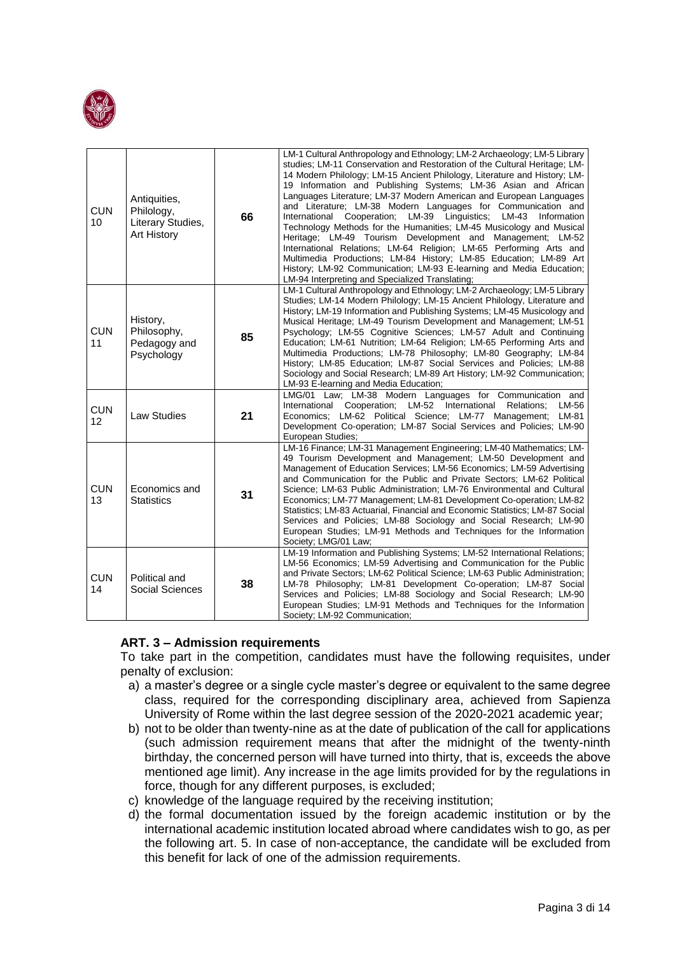

| <b>CUN</b><br>10              | Antiquities,<br>Philology,<br>Literary Studies,<br>Art History | 66 | LM-1 Cultural Anthropology and Ethnology; LM-2 Archaeology; LM-5 Library<br>studies; LM-11 Conservation and Restoration of the Cultural Heritage; LM-<br>14 Modern Philology; LM-15 Ancient Philology, Literature and History; LM-<br>19 Information and Publishing Systems; LM-36 Asian and African<br>Languages Literature: LM-37 Modern American and European Languages<br>and Literature; LM-38 Modern Languages for Communication and<br>International Cooperation; LM-39 Linguistics; LM-43 Information<br>Technology Methods for the Humanities; LM-45 Musicology and Musical<br>Heritage; LM-49 Tourism Development and Management; LM-52<br>International Relations; LM-64 Religion; LM-65 Performing Arts and<br>Multimedia Productions; LM-84 History; LM-85 Education; LM-89 Art<br>History; LM-92 Communication; LM-93 E-learning and Media Education;<br>LM-94 Interpreting and Specialized Translating; |
|-------------------------------|----------------------------------------------------------------|----|------------------------------------------------------------------------------------------------------------------------------------------------------------------------------------------------------------------------------------------------------------------------------------------------------------------------------------------------------------------------------------------------------------------------------------------------------------------------------------------------------------------------------------------------------------------------------------------------------------------------------------------------------------------------------------------------------------------------------------------------------------------------------------------------------------------------------------------------------------------------------------------------------------------------|
| <b>CUN</b><br>11              | History,<br>Philosophy,<br>Pedagogy and<br>Psychology          | 85 | LM-1 Cultural Anthropology and Ethnology; LM-2 Archaeology; LM-5 Library<br>Studies; LM-14 Modern Philology; LM-15 Ancient Philology, Literature and<br>History: LM-19 Information and Publishing Systems: LM-45 Musicology and<br>Musical Heritage; LM-49 Tourism Development and Management; LM-51<br>Psychology; LM-55 Cognitive Sciences; LM-57 Adult and Continuing<br>Education; LM-61 Nutrition; LM-64 Religion; LM-65 Performing Arts and<br>Multimedia Productions; LM-78 Philosophy; LM-80 Geography; LM-84<br>History; LM-85 Education; LM-87 Social Services and Policies; LM-88<br>Sociology and Social Research; LM-89 Art History; LM-92 Communication;<br>LM-93 E-learning and Media Education;                                                                                                                                                                                                        |
| <b>CUN</b><br>12 <sup>2</sup> | Law Studies                                                    | 21 | LMG/01 Law; LM-38 Modern Languages for Communication and<br>International Cooperation; LM-52 International<br>Relations:<br>LM-56<br>Economics; LM-62 Political Science; LM-77 Management; LM-81<br>Development Co-operation; LM-87 Social Services and Policies; LM-90<br>European Studies;                                                                                                                                                                                                                                                                                                                                                                                                                                                                                                                                                                                                                           |
| <b>CUN</b><br>13              | Economics and<br><b>Statistics</b>                             | 31 | LM-16 Finance; LM-31 Management Engineering; LM-40 Mathematics; LM-<br>49 Tourism Development and Management; LM-50 Development and<br>Management of Education Services; LM-56 Economics; LM-59 Advertising<br>and Communication for the Public and Private Sectors: LM-62 Political<br>Science; LM-63 Public Administration; LM-76 Environmental and Cultural<br>Economics; LM-77 Management; LM-81 Development Co-operation; LM-82<br>Statistics; LM-83 Actuarial, Financial and Economic Statistics; LM-87 Social<br>Services and Policies; LM-88 Sociology and Social Research; LM-90<br>European Studies; LM-91 Methods and Techniques for the Information<br>Society; LMG/01 Law;                                                                                                                                                                                                                                |
| <b>CUN</b><br>14              | Political and<br>Social Sciences                               | 38 | LM-19 Information and Publishing Systems; LM-52 International Relations;<br>LM-56 Economics; LM-59 Advertising and Communication for the Public<br>and Private Sectors; LM-62 Political Science; LM-63 Public Administration;<br>LM-78 Philosophy; LM-81 Development Co-operation; LM-87 Social<br>Services and Policies; LM-88 Sociology and Social Research; LM-90<br>European Studies; LM-91 Methods and Techniques for the Information<br>Society; LM-92 Communication;                                                                                                                                                                                                                                                                                                                                                                                                                                            |

### **ART. 3 – Admission requirements**

To take part in the competition, candidates must have the following requisites, under penalty of exclusion:

- a) a master's degree or a single cycle master's degree or equivalent to the same degree class, required for the corresponding disciplinary area, achieved from Sapienza University of Rome within the last degree session of the 2020-2021 academic year;
- b) not to be older than twenty-nine as at the date of publication of the call for applications (such admission requirement means that after the midnight of the twenty-ninth birthday, the concerned person will have turned into thirty, that is, exceeds the above mentioned age limit). Any increase in the age limits provided for by the regulations in force, though for any different purposes, is excluded;
- c) knowledge of the language required by the receiving institution;
- d) the formal documentation issued by the foreign academic institution or by the international academic institution located abroad where candidates wish to go, as per the following art. 5. In case of non-acceptance, the candidate will be excluded from this benefit for lack of one of the admission requirements.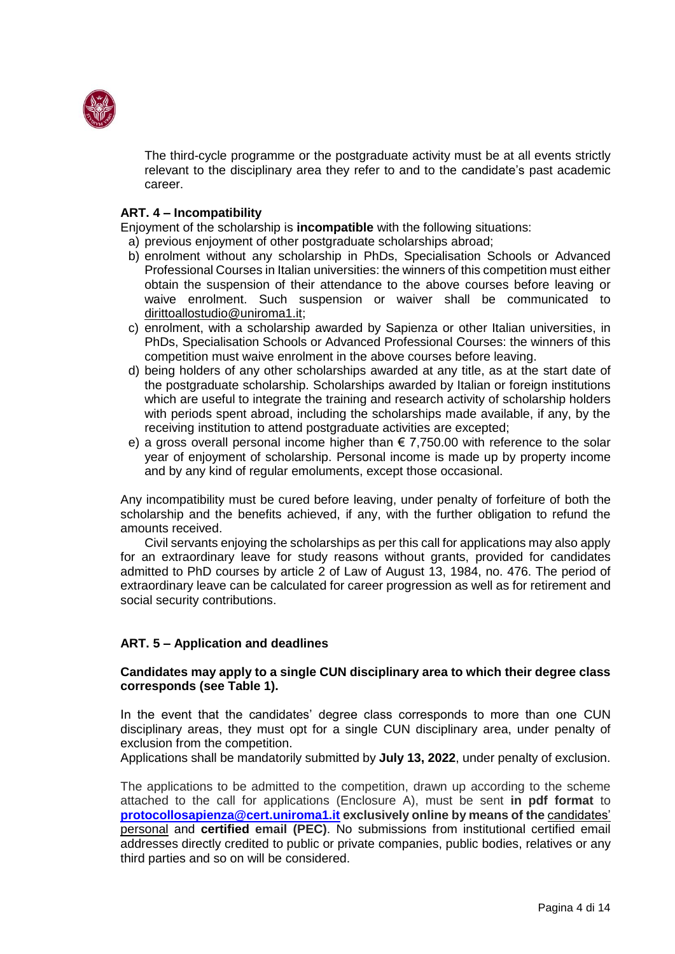

The third-cycle programme or the postgraduate activity must be at all events strictly relevant to the disciplinary area they refer to and to the candidate's past academic career.

### **ART. 4 – Incompatibility**

Enjoyment of the scholarship is **incompatible** with the following situations:

- a) previous enjoyment of other postgraduate scholarships abroad;
- b) enrolment without any scholarship in PhDs, Specialisation Schools or Advanced Professional Courses in Italian universities: the winners of this competition must either obtain the suspension of their attendance to the above courses before leaving or waive enrolment. Such suspension or waiver shall be communicated to dirittoallostudio@uniroma1.it;
- c) enrolment, with a scholarship awarded by Sapienza or other Italian universities, in PhDs, Specialisation Schools or Advanced Professional Courses: the winners of this competition must waive enrolment in the above courses before leaving.
- d) being holders of any other scholarships awarded at any title, as at the start date of the postgraduate scholarship. Scholarships awarded by Italian or foreign institutions which are useful to integrate the training and research activity of scholarship holders with periods spent abroad, including the scholarships made available, if any, by the receiving institution to attend postgraduate activities are excepted;
- e) a gross overall personal income higher than  $\epsilon$  7,750.00 with reference to the solar year of enjoyment of scholarship. Personal income is made up by property income and by any kind of regular emoluments, except those occasional.

Any incompatibility must be cured before leaving, under penalty of forfeiture of both the scholarship and the benefits achieved, if any, with the further obligation to refund the amounts received.

Civil servants enjoying the scholarships as per this call for applications may also apply for an extraordinary leave for study reasons without grants, provided for candidates admitted to PhD courses by article 2 of Law of August 13, 1984, no. 476. The period of extraordinary leave can be calculated for career progression as well as for retirement and social security contributions.

# **ART. 5 – Application and deadlines**

### **Candidates may apply to a single CUN disciplinary area to which their degree class corresponds (see Table 1).**

In the event that the candidates' degree class corresponds to more than one CUN disciplinary areas, they must opt for a single CUN disciplinary area, under penalty of exclusion from the competition.

Applications shall be mandatorily submitted by **July 13, 2022**, under penalty of exclusion.

The applications to be admitted to the competition, drawn up according to the scheme attached to the call for applications (Enclosure A), must be sent **in pdf format** to **[protocollosapienza@cert.uniroma1.it](mailto:protocollosapienza@cert.uniroma1.it) exclusively online by means of the** candidates' personal and **certified email (PEC)**. No submissions from institutional certified email addresses directly credited to public or private companies, public bodies, relatives or any third parties and so on will be considered.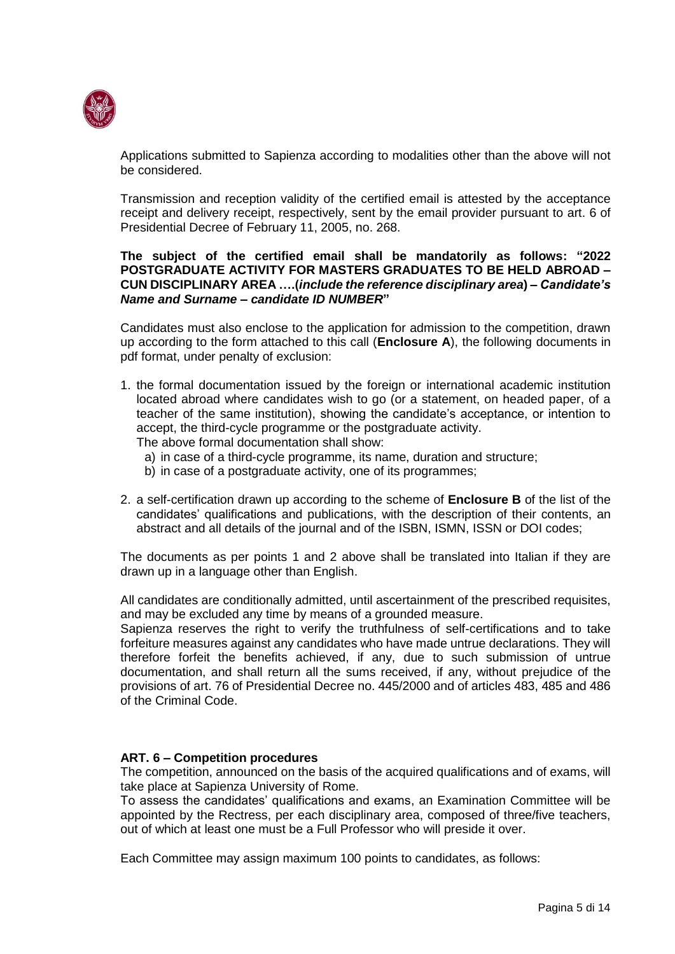

Applications submitted to Sapienza according to modalities other than the above will not be considered.

Transmission and reception validity of the certified email is attested by the acceptance receipt and delivery receipt, respectively, sent by the email provider pursuant to art. 6 of Presidential Decree of February 11, 2005, no. 268.

### **The subject of the certified email shall be mandatorily as follows: "2022 POSTGRADUATE ACTIVITY FOR MASTERS GRADUATES TO BE HELD ABROAD – CUN DISCIPLINARY AREA ….(***include the reference disciplinary area***) –** *Candidate's Name and Surname – candidate ID NUMBER***"**

Candidates must also enclose to the application for admission to the competition, drawn up according to the form attached to this call (**Enclosure A**), the following documents in pdf format, under penalty of exclusion:

1. the formal documentation issued by the foreign or international academic institution located abroad where candidates wish to go (or a statement, on headed paper, of a teacher of the same institution), showing the candidate's acceptance, or intention to accept, the third-cycle programme or the postgraduate activity.

The above formal documentation shall show:

- a) in case of a third-cycle programme, its name, duration and structure;
- b) in case of a postgraduate activity, one of its programmes;
- 2. a self-certification drawn up according to the scheme of **Enclosure B** of the list of the candidates' qualifications and publications, with the description of their contents, an abstract and all details of the journal and of the ISBN, ISMN, ISSN or DOI codes;

The documents as per points 1 and 2 above shall be translated into Italian if they are drawn up in a language other than English.

All candidates are conditionally admitted, until ascertainment of the prescribed requisites, and may be excluded any time by means of a grounded measure.

Sapienza reserves the right to verify the truthfulness of self-certifications and to take forfeiture measures against any candidates who have made untrue declarations. They will therefore forfeit the benefits achieved, if any, due to such submission of untrue documentation, and shall return all the sums received, if any, without prejudice of the provisions of art. 76 of Presidential Decree no. 445/2000 and of articles 483, 485 and 486 of the Criminal Code.

# **ART. 6 – Competition procedures**

The competition, announced on the basis of the acquired qualifications and of exams, will take place at Sapienza University of Rome.

To assess the candidates' qualifications and exams, an Examination Committee will be appointed by the Rectress, per each disciplinary area, composed of three/five teachers, out of which at least one must be a Full Professor who will preside it over.

Each Committee may assign maximum 100 points to candidates, as follows: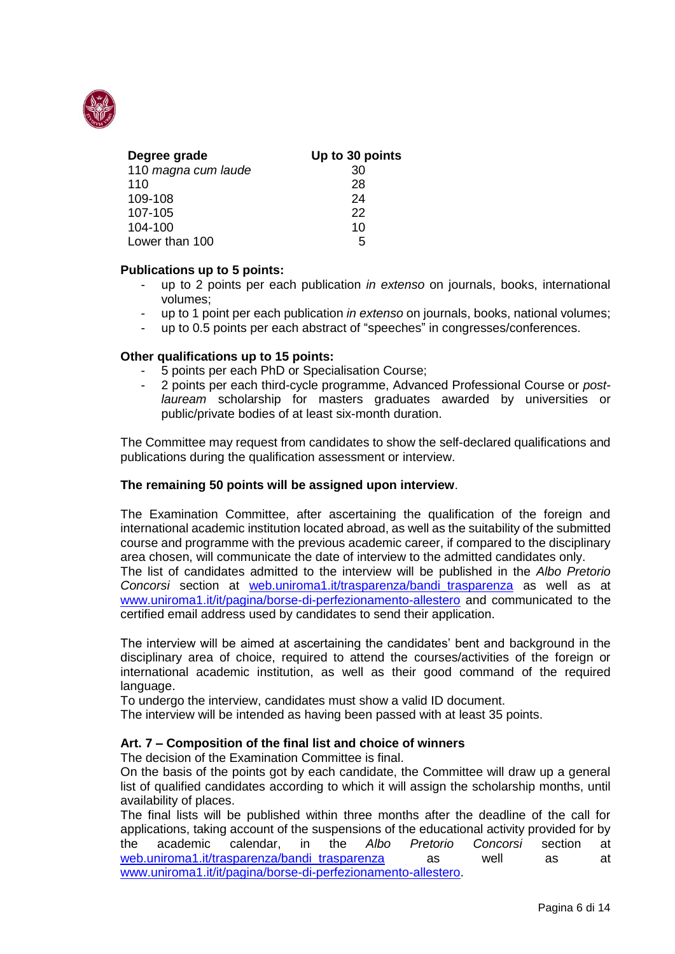

| Degree grade        | Up to 30 points |
|---------------------|-----------------|
| 110 magna cum laude | 30              |
| 110                 | 28              |
| 109-108             | 24              |
| 107-105             | 22              |
| 104-100             | 10              |
| Lower than 100      | 5               |

### **Publications up to 5 points:**

- up to 2 points per each publication *in extenso* on journals, books, international volumes;
- up to 1 point per each publication *in extenso* on journals, books, national volumes;
- up to 0.5 points per each abstract of "speeches" in congresses/conferences.

### **Other qualifications up to 15 points:**

- 5 points per each PhD or Specialisation Course;
- 2 points per each third-cycle programme, Advanced Professional Course or *postlauream* scholarship for masters graduates awarded by universities or public/private bodies of at least six-month duration.

The Committee may request from candidates to show the self-declared qualifications and publications during the qualification assessment or interview.

### **The remaining 50 points will be assigned upon interview**.

The Examination Committee, after ascertaining the qualification of the foreign and international academic institution located abroad, as well as the suitability of the submitted course and programme with the previous academic career, if compared to the disciplinary area chosen, will communicate the date of interview to the admitted candidates only. The list of candidates admitted to the interview will be published in the *Albo Pretorio Concorsi* section at [web.uniroma1.it/trasparenza/bandi\\_trasparenza](https://web.uniroma1.it/trasparenza/bandi_trasparenza) as well as at

[www.uniroma1.it/it/pagina/borse-di-perfezionamento-allestero](http://www.uniroma1.it/it/pagina/borse-di-perfezionamento-allestero) and communicated to the certified email address used by candidates to send their application.

The interview will be aimed at ascertaining the candidates' bent and background in the disciplinary area of choice, required to attend the courses/activities of the foreign or international academic institution, as well as their good command of the required language.

To undergo the interview, candidates must show a valid ID document.

The interview will be intended as having been passed with at least 35 points.

### **Art. 7 – Composition of the final list and choice of winners**

The decision of the Examination Committee is final.

On the basis of the points got by each candidate, the Committee will draw up a general list of qualified candidates according to which it will assign the scholarship months, until availability of places.

The final lists will be published within three months after the deadline of the call for applications, taking account of the suspensions of the educational activity provided for by the academic calendar, in the *Albo Pretorio Concorsi* section at web.uniroma1.it/trasparenza/bandi trasparenza as well as at [www.uniroma1.it/it/pagina/borse-di-perfezionamento-allestero.](http://www.uniroma1.it/it/pagina/borse-di-perfezionamento-allestero)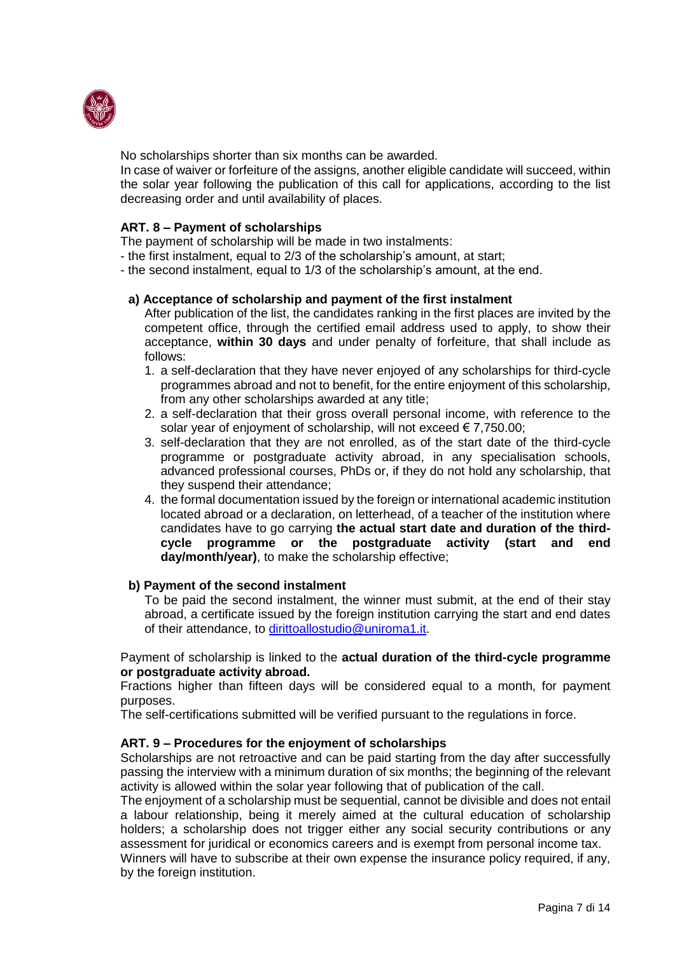

No scholarships shorter than six months can be awarded.

In case of waiver or forfeiture of the assigns, another eligible candidate will succeed, within the solar year following the publication of this call for applications, according to the list decreasing order and until availability of places.

# **ART. 8 – Payment of scholarships**

The payment of scholarship will be made in two instalments:

- the first instalment, equal to 2/3 of the scholarship's amount, at start;
- the second instalment, equal to 1/3 of the scholarship's amount, at the end.

### **a) Acceptance of scholarship and payment of the first instalment**

After publication of the list, the candidates ranking in the first places are invited by the competent office, through the certified email address used to apply, to show their acceptance, **within 30 days** and under penalty of forfeiture, that shall include as follows:

- 1. a self-declaration that they have never enjoyed of any scholarships for third-cycle programmes abroad and not to benefit, for the entire enjoyment of this scholarship, from any other scholarships awarded at any title;
- 2. a self-declaration that their gross overall personal income, with reference to the solar year of enjoyment of scholarship, will not exceed € 7,750.00;
- 3. self-declaration that they are not enrolled, as of the start date of the third-cycle programme or postgraduate activity abroad, in any specialisation schools, advanced professional courses, PhDs or, if they do not hold any scholarship, that they suspend their attendance;
- 4. the formal documentation issued by the foreign or international academic institution located abroad or a declaration, on letterhead, of a teacher of the institution where candidates have to go carrying **the actual start date and duration of the thirdcycle programme or the postgraduate activity (start and end day/month/year)**, to make the scholarship effective;

### **b) Payment of the second instalment**

To be paid the second instalment, the winner must submit, at the end of their stay abroad, a certificate issued by the foreign institution carrying the start and end dates of their attendance, to [dirittoallostudio@uniroma1.it.](mailto:dirittoallostudio@uniroma1.it)

### Payment of scholarship is linked to the **actual duration of the third-cycle programme or postgraduate activity abroad.**

Fractions higher than fifteen days will be considered equal to a month, for payment purposes.

The self-certifications submitted will be verified pursuant to the regulations in force.

### **ART. 9 – Procedures for the enjoyment of scholarships**

Scholarships are not retroactive and can be paid starting from the day after successfully passing the interview with a minimum duration of six months; the beginning of the relevant activity is allowed within the solar year following that of publication of the call.

The enjoyment of a scholarship must be sequential, cannot be divisible and does not entail a labour relationship, being it merely aimed at the cultural education of scholarship holders; a scholarship does not trigger either any social security contributions or any assessment for juridical or economics careers and is exempt from personal income tax.

Winners will have to subscribe at their own expense the insurance policy required, if any, by the foreign institution.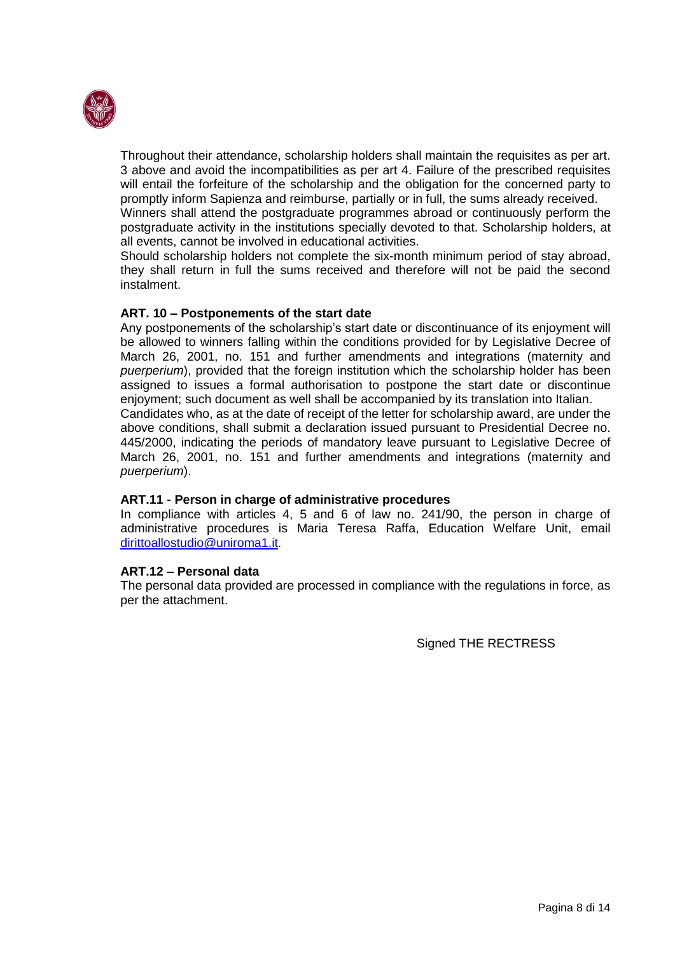

Throughout their attendance, scholarship holders shall maintain the requisites as per art. 3 above and avoid the incompatibilities as per art 4. Failure of the prescribed requisites will entail the forfeiture of the scholarship and the obligation for the concerned party to promptly inform Sapienza and reimburse, partially or in full, the sums already received.

Winners shall attend the postgraduate programmes abroad or continuously perform the postgraduate activity in the institutions specially devoted to that. Scholarship holders, at all events, cannot be involved in educational activities.

Should scholarship holders not complete the six-month minimum period of stay abroad, they shall return in full the sums received and therefore will not be paid the second instalment.

### **ART. 10 – Postponements of the start date**

Any postponements of the scholarship's start date or discontinuance of its enjoyment will be allowed to winners falling within the conditions provided for by Legislative Decree of March 26, 2001, no. 151 and further amendments and integrations (maternity and *puerperium*), provided that the foreign institution which the scholarship holder has been assigned to issues a formal authorisation to postpone the start date or discontinue enjoyment; such document as well shall be accompanied by its translation into Italian.

Candidates who, as at the date of receipt of the letter for scholarship award, are under the above conditions, shall submit a declaration issued pursuant to Presidential Decree no. 445/2000, indicating the periods of mandatory leave pursuant to Legislative Decree of March 26, 2001, no. 151 and further amendments and integrations (maternity and *puerperium*).

### **ART.11 - Person in charge of administrative procedures**

In compliance with articles 4, 5 and 6 of law no. 241/90, the person in charge of administrative procedures is Maria Teresa Raffa, Education Welfare Unit, email [dirittoallostudio@uniroma1.it](mailto:dirittoallostudio@uniroma1.it).

### **ART.12 – Personal data**

The personal data provided are processed in compliance with the regulations in force, as per the attachment.

Signed THE RECTRESS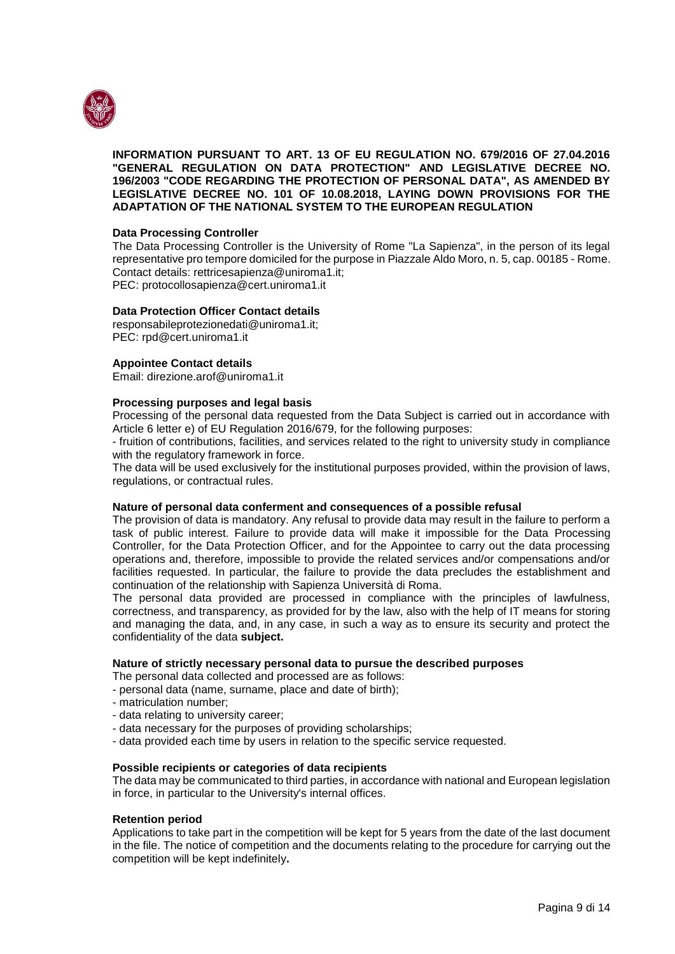

#### **INFORMATION PURSUANT TO ART. 13 OF EU REGULATION NO. 679/2016 OF 27.04.2016 "GENERAL REGULATION ON DATA PROTECTION" AND LEGISLATIVE DECREE NO. 196/2003 "CODE REGARDING THE PROTECTION OF PERSONAL DATA", AS AMENDED BY LEGISLATIVE DECREE NO. 101 OF 10.08.2018, LAYING DOWN PROVISIONS FOR THE ADAPTATION OF THE NATIONAL SYSTEM TO THE EUROPEAN REGULATION**

#### **Data Processing Controller**

The Data Processing Controller is the University of Rome "La Sapienza", in the person of its legal representative pro tempore domiciled for the purpose in Piazzale Aldo Moro, n. 5, cap. 00185 - Rome. Contact details: rettricesapienza@uniroma1.it; PEC: protocollosapienza@cert.uniroma1.it

**Data Protection Officer Contact details** responsabileprotezionedati@uniroma1.it;

PEC: rpd@cert.uniroma1.it

#### **Appointee Contact details**

Email: direzione.arof@uniroma1.it

#### **Processing purposes and legal basis**

Processing of the personal data requested from the Data Subject is carried out in accordance with Article 6 letter e) of EU Regulation 2016/679, for the following purposes:

- fruition of contributions, facilities, and services related to the right to university study in compliance with the regulatory framework in force.

The data will be used exclusively for the institutional purposes provided, within the provision of laws, regulations, or contractual rules.

#### **Nature of personal data conferment and consequences of a possible refusal**

The provision of data is mandatory. Any refusal to provide data may result in the failure to perform a task of public interest. Failure to provide data will make it impossible for the Data Processing Controller, for the Data Protection Officer, and for the Appointee to carry out the data processing operations and, therefore, impossible to provide the related services and/or compensations and/or facilities requested. In particular, the failure to provide the data precludes the establishment and continuation of the relationship with Sapienza Università di Roma.

The personal data provided are processed in compliance with the principles of lawfulness, correctness, and transparency, as provided for by the law, also with the help of IT means for storing and managing the data, and, in any case, in such a way as to ensure its security and protect the confidentiality of the data **subject.**

#### **Nature of strictly necessary personal data to pursue the described purposes**

The personal data collected and processed are as follows:

- personal data (name, surname, place and date of birth);

- matriculation number;
- data relating to university career;
- data necessary for the purposes of providing scholarships;
- data provided each time by users in relation to the specific service requested.

#### **Possible recipients or categories of data recipients**

The data may be communicated to third parties, in accordance with national and European legislation in force, in particular to the University's internal offices.

#### **Retention period**

Applications to take part in the competition will be kept for 5 years from the date of the last document in the file. The notice of competition and the documents relating to the procedure for carrying out the competition will be kept indefinitely**.**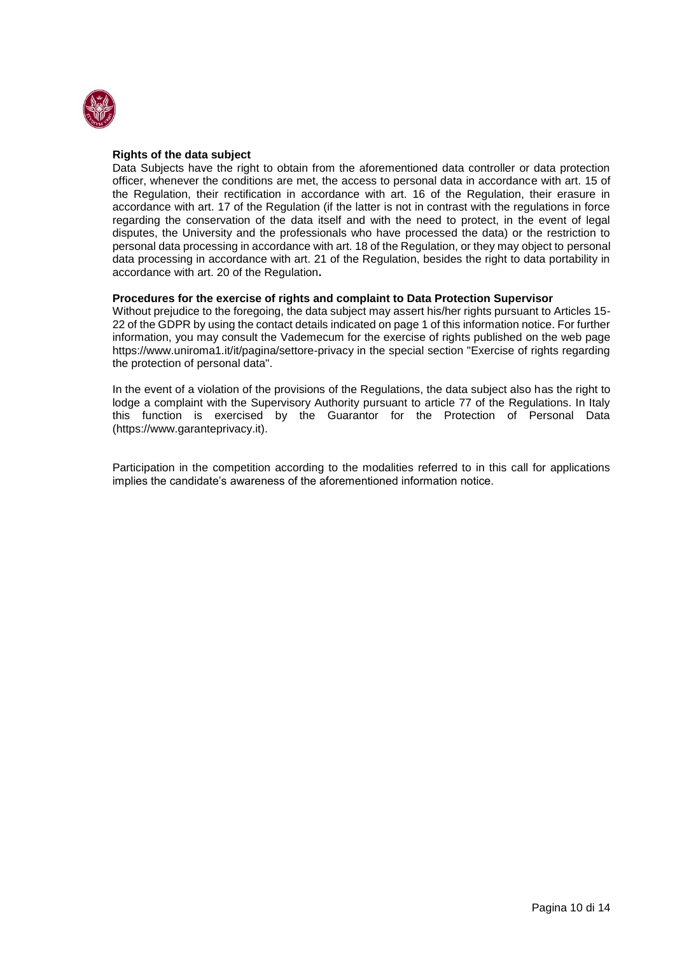

#### **Rights of the data subject**

Data Subjects have the right to obtain from the aforementioned data controller or data protection officer, whenever the conditions are met, the access to personal data in accordance with art. 15 of the Regulation, their rectification in accordance with art. 16 of the Regulation, their erasure in accordance with art. 17 of the Regulation (if the latter is not in contrast with the regulations in force regarding the conservation of the data itself and with the need to protect, in the event of legal disputes, the University and the professionals who have processed the data) or the restriction to personal data processing in accordance with art. 18 of the Regulation, or they may object to personal data processing in accordance with art. 21 of the Regulation, besides the right to data portability in accordance with art. 20 of the Regulation**.**

#### **Procedures for the exercise of rights and complaint to Data Protection Supervisor**

Without prejudice to the foregoing, the data subject may assert his/her rights pursuant to Articles 15- 22 of the GDPR by using the contact details indicated on page 1 of this information notice. For further information, you may consult the Vademecum for the exercise of rights published on the web page https://www.uniroma1.it/it/pagina/settore-privacy in the special section "Exercise of rights regarding the protection of personal data".

In the event of a violation of the provisions of the Regulations, the data subject also has the right to lodge a complaint with the Supervisory Authority pursuant to article 77 of the Regulations. In Italy this function is exercised by the Guarantor for the Protection of Personal Data (https://www.garanteprivacy.it).

Participation in the competition according to the modalities referred to in this call for applications implies the candidate's awareness of the aforementioned information notice.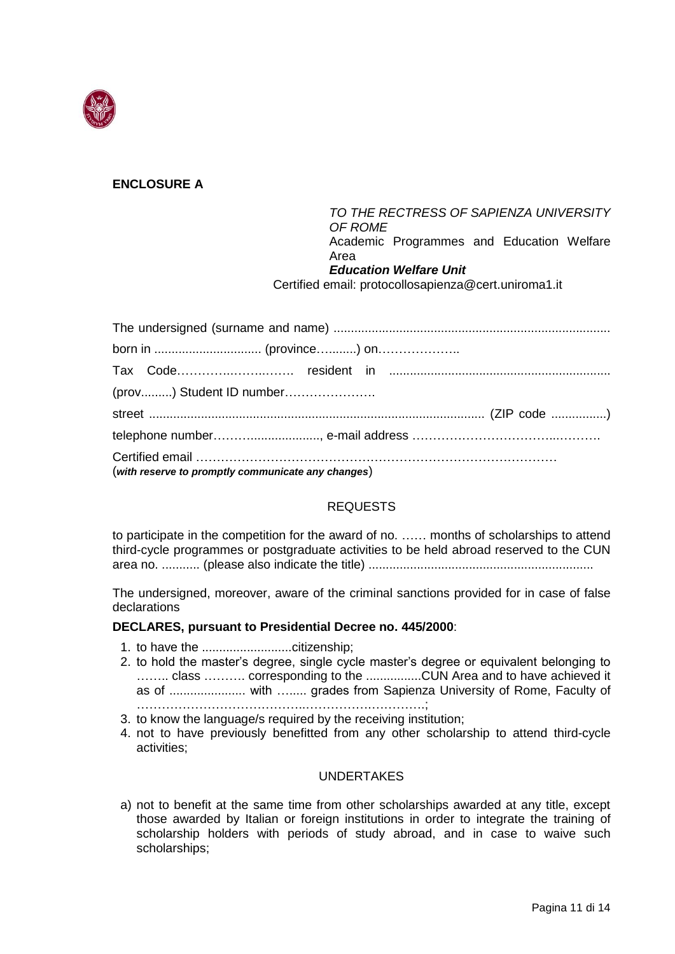

# **ENCLOSURE A**

*TO THE RECTRESS OF SAPIENZA UNIVERSITY OF ROME* Academic Programmes and Education Welfare Area *Education Welfare Unit*

Certified email: protocollosapienza@cert.uniroma1.it

| (with reserve to promptly communicate any changes) |
|----------------------------------------------------|

# REQUESTS

to participate in the competition for the award of no. …… months of scholarships to attend third-cycle programmes or postgraduate activities to be held abroad reserved to the CUN area no. ........... (please also indicate the title) .................................................................

The undersigned, moreover, aware of the criminal sanctions provided for in case of false declarations

### **DECLARES, pursuant to Presidential Decree no. 445/2000**:

- 1. to have the ..........................citizenship;
- 2. to hold the master's degree, single cycle master's degree or equivalent belonging to …….. class ………. corresponding to the ................CUN Area and to have achieved it as of ...................... with …..... grades from Sapienza University of Rome, Faculty of …………………………………..…………….………….;
- 3. to know the language/s required by the receiving institution;
- 4. not to have previously benefitted from any other scholarship to attend third-cycle activities;

### **UNDERTAKES**

a) not to benefit at the same time from other scholarships awarded at any title, except those awarded by Italian or foreign institutions in order to integrate the training of scholarship holders with periods of study abroad, and in case to waive such scholarships;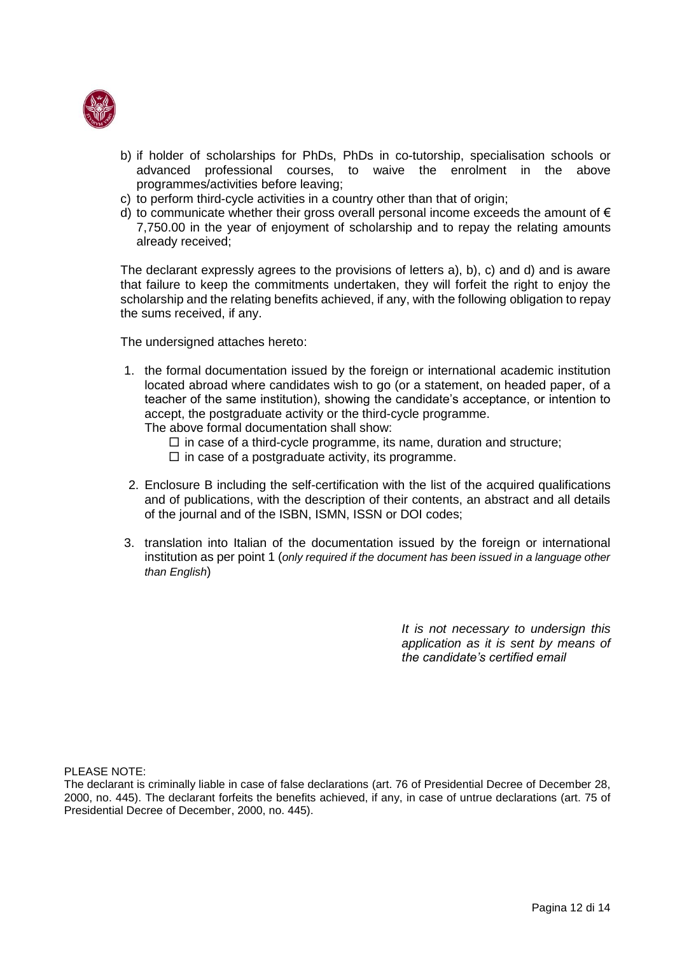

- b) if holder of scholarships for PhDs, PhDs in co-tutorship, specialisation schools or advanced professional courses, to waive the enrolment in the above programmes/activities before leaving;
- c) to perform third-cycle activities in a country other than that of origin;
- d) to communicate whether their gross overall personal income exceeds the amount of  $\epsilon$ 7,750.00 in the year of enjoyment of scholarship and to repay the relating amounts already received;

The declarant expressly agrees to the provisions of letters a), b), c) and d) and is aware that failure to keep the commitments undertaken, they will forfeit the right to enjoy the scholarship and the relating benefits achieved, if any, with the following obligation to repay the sums received, if any.

The undersigned attaches hereto:

1. the formal documentation issued by the foreign or international academic institution located abroad where candidates wish to go (or a statement, on headed paper, of a teacher of the same institution), showing the candidate's acceptance, or intention to accept, the postgraduate activity or the third-cycle programme.

The above formal documentation shall show:

- $\Box$  in case of a third-cycle programme, its name, duration and structure;
- $\Box$  in case of a postgraduate activity, its programme.
- 2. Enclosure B including the self-certification with the list of the acquired qualifications and of publications, with the description of their contents, an abstract and all details of the journal and of the ISBN, ISMN, ISSN or DOI codes;
- 3. translation into Italian of the documentation issued by the foreign or international institution as per point 1 (*only required if the document has been issued in a language other than English*)

*It is not necessary to undersign this application as it is sent by means of the candidate's certified email*

PLEASE NOTE:

The declarant is criminally liable in case of false declarations (art. 76 of Presidential Decree of December 28, 2000, no. 445). The declarant forfeits the benefits achieved, if any, in case of untrue declarations (art. 75 of Presidential Decree of December, 2000, no. 445).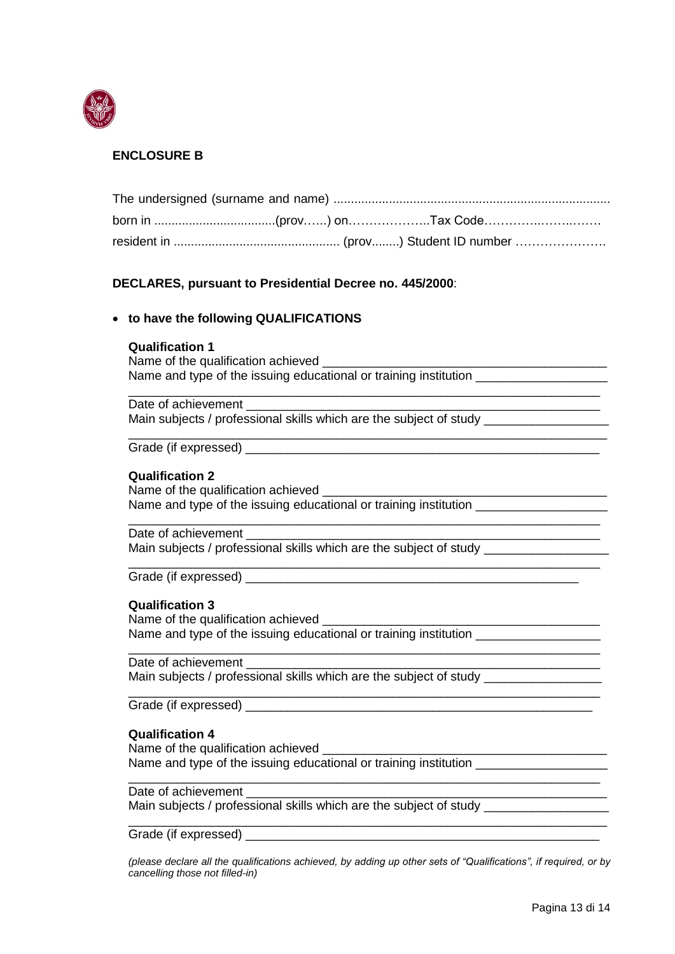

# **ENCLOSURE B**

| born in (prov……) on…………………Tax Code………………………… |  |  |
|----------------------------------------------|--|--|
|                                              |  |  |

### **DECLARES, pursuant to Presidential Decree no. 445/2000**:

### • **to have the following QUALIFICATIONS**

#### **Qualification 1**

Name of the qualification achieved **Name** of the qualification achieved Name and type of the issuing educational or training institution

\_\_\_\_\_\_\_\_\_\_\_\_\_\_\_\_\_\_\_\_\_\_\_\_\_\_\_\_\_\_\_\_\_\_\_\_\_\_\_\_\_\_\_\_\_\_\_\_\_\_\_\_\_\_\_\_\_\_\_\_\_\_\_\_\_\_\_\_

\_\_\_\_\_\_\_\_\_\_\_\_\_\_\_\_\_\_\_\_\_\_\_\_\_\_\_\_\_\_\_\_\_\_\_\_\_\_\_\_\_\_\_\_\_\_\_\_\_\_\_\_\_\_\_\_\_\_\_\_\_\_\_\_\_\_\_\_

\_\_\_\_\_\_\_\_\_\_\_\_\_\_\_\_\_\_\_\_\_\_\_\_\_\_\_\_\_\_\_\_\_\_\_\_\_\_\_\_\_\_\_\_\_\_\_\_\_\_\_\_\_\_\_\_\_\_\_\_\_\_\_\_\_\_\_\_

\_\_\_\_\_\_\_\_\_\_\_\_\_\_\_\_\_\_\_\_\_\_\_\_\_\_\_\_\_\_\_\_\_\_\_\_\_\_\_\_\_\_\_\_\_\_\_\_\_\_\_\_\_\_\_\_\_\_\_\_\_\_\_\_\_\_\_\_

\_\_\_\_\_\_\_\_\_\_\_\_\_\_\_\_\_\_\_\_\_\_\_\_\_\_\_\_\_\_\_\_\_\_\_\_\_\_\_\_\_\_\_\_\_\_\_\_\_\_\_\_\_\_\_\_\_\_\_\_\_\_\_\_\_\_\_\_\_

Date of achievement Main subjects / professional skills which are the subject of study

Grade (if expressed) examples a set of  $\sim$  0.000  $\mu$  m  $\sim$  0.000  $\mu$  m  $\sim$  0.000  $\mu$ 

#### **Qualification 2**

Name of the qualification achieved Name and type of the issuing educational or training institution

Date of achievement

Main subjects / professional skills which are the subject of study \_\_\_\_\_\_\_\_\_\_\_\_\_

Grade (if expressed) **Example 2** and  $\overline{a}$  and  $\overline{b}$  and  $\overline{c}$  and  $\overline{d}$  and  $\overline{c}$  and  $\overline{c}$  and  $\overline{c}$  and  $\overline{c}$  and  $\overline{c}$  and  $\overline{c}$  and  $\overline{c}$  and  $\overline{c}$  and  $\overline{c}$  and  $\overline{c}$  and  $\over$ 

### **Qualification 3**

Name of the qualification achieved Name and type of the issuing educational or training institution \_\_\_\_\_\_\_\_\_\_\_\_\_\_\_

#### Date of achievement

Main subjects / professional skills which are the subject of study

Grade (if expressed)

#### **Qualification 4**

Name of the qualification achieved \_\_\_\_\_\_\_\_\_\_\_\_\_\_\_\_\_\_\_\_\_\_\_\_\_\_\_\_\_\_\_\_\_\_\_\_\_\_\_\_\_ Name and type of the issuing educational or training institution

#### Date of achievement

Main subjects / professional skills which are the subject of study \_\_\_\_\_\_\_\_\_\_\_\_\_

Grade (if expressed) **Example 20**  $\overline{a}$  and  $\overline{b}$  and  $\overline{c}$  and  $\overline{d}$  and  $\overline{c}$  and  $\overline{c}$  and  $\overline{c}$  and  $\overline{c}$  and  $\overline{c}$  and  $\overline{c}$  and  $\overline{c}$  and  $\overline{c}$  and  $\overline{c}$  and  $\overline{c}$  and  $\overline{c$ 

*(please declare all the qualifications achieved, by adding up other sets of "Qualifications", if required, or by cancelling those not filled-in)*

\_\_\_\_\_\_\_\_\_\_\_\_\_\_\_\_\_\_\_\_\_\_\_\_\_\_\_\_\_\_\_\_\_\_\_\_\_\_\_\_\_\_\_\_\_\_\_\_\_\_\_\_\_\_\_\_\_\_\_\_\_\_\_\_\_\_\_\_

\_\_\_\_\_\_\_\_\_\_\_\_\_\_\_\_\_\_\_\_\_\_\_\_\_\_\_\_\_\_\_\_\_\_\_\_\_\_\_\_\_\_\_\_\_\_\_\_\_\_\_\_\_\_\_\_\_\_\_\_\_\_\_\_\_\_\_\_\_